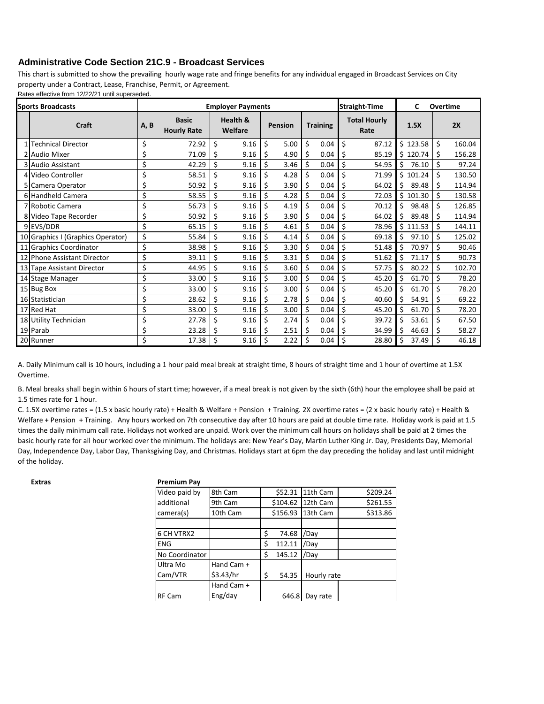## **Administrative Code Section 21C.9 - Broadcast Services**

This chart is submitted to show the prevailing hourly wage rate and fringe benefits for any individual engaged in Broadcast Services on City property under a Contract, Lease, Franchise, Permit, or Agreement.

Rates effective from 12/22/21 until superseded.

| <b>Sports Broadcasts</b> |                                   | <b>Employer Payments</b> |                                    |                                |      |         |      |                 |      |                             | <b>Straight-Time</b> |      | C<br>Overtime |    |        |  |
|--------------------------|-----------------------------------|--------------------------|------------------------------------|--------------------------------|------|---------|------|-----------------|------|-----------------------------|----------------------|------|---------------|----|--------|--|
|                          | <b>Craft</b>                      | A, B                     | <b>Basic</b><br><b>Hourly Rate</b> | <b>Health &amp;</b><br>Welfare |      | Pension |      | <b>Training</b> |      | <b>Total Hourly</b><br>Rate |                      | 1.5X |               | 2X |        |  |
|                          | <b>Technical Director</b>         | \$                       | 72.92                              | \$                             | 9.16 | \$      | 5.00 | \$              | 0.04 | \$                          | 87.12                |      | \$123.58      | \$ | 160.04 |  |
| 2                        | <b>Audio Mixer</b>                | \$                       | 71.09                              | \$                             | 9.16 | \$      | 4.90 | \$              | 0.04 | \$                          | 85.19                | Ś.   | 120.74        | \$ | 156.28 |  |
|                          | 3 Audio Assistant                 | \$                       | 42.29                              | \$                             | 9.16 | Ś       | 3.46 | \$              | 0.04 | \$                          | 54.95                | \$   | 76.10         | \$ | 97.24  |  |
|                          | 4 Video Controller                | \$                       | 58.51                              | \$                             | 9.16 | Ś       | 4.28 | \$              | 0.04 | \$                          | 71.99                | Ś.   | 101.24        | \$ | 130.50 |  |
|                          | 5 Camera Operator                 | \$                       | 50.92                              | \$                             | 9.16 | Ś       | 3.90 | \$              | 0.04 | \$                          | 64.02                | Ś.   | 89.48         | \$ | 114.94 |  |
|                          | 6 Handheld Camera                 | \$                       | 58.55                              | Ś                              | 9.16 |         | 4.28 |                 | 0.04 | \$                          | 72.03                | Š.   | 101.30        | Ś  | 130.58 |  |
|                          | 7 Robotic Camera                  | \$                       | 56.73                              | \$                             | 9.16 | Ś       | 4.19 | Ś               | 0.04 | \$                          | 70.12                | Ŝ.   | 98.48         | Ś  | 126.85 |  |
|                          | 8 Video Tape Recorder             | \$                       | 50.92                              | Ś                              | 9.16 | Ś       | 3.90 | Ś               | 0.04 | Ś                           | 64.02                | Ś    | 89.48         | Ś  | 114.94 |  |
|                          | 9EVS/DDR                          | \$                       | 65.15                              | \$                             | 9.16 | \$      | 4.61 | \$              | 0.04 | \$                          | 78.96                |      | \$111.53      | \$ | 144.11 |  |
|                          | 10 Graphics I (Graphics Operator) | \$                       | 55.84                              | Ś                              | 9.16 | Ś       | 4.14 | \$              | 0.04 | \$                          | 69.18                | Ś.   | 97.10         | \$ | 125.02 |  |
| 11                       | Graphics Coordinator              | \$                       | 38.98                              | \$                             | 9.16 | Ś       | 3.30 | \$              | 0.04 | \$                          | 51.48                | \$   | 70.97         | Ś  | 90.46  |  |
|                          | 12 Phone Assistant Director       | \$                       | 39.11                              | \$                             | 9.16 | Ś       | 3.31 | \$              | 0.04 | \$                          | 51.62                | \$   | 71.17         | \$ | 90.73  |  |
|                          | 13 Tape Assistant Director        | \$                       | 44.95                              | \$                             | 9.16 | Ś       | 3.60 | \$              | 0.04 | \$                          | 57.75                | \$   | 80.22         | \$ | 102.70 |  |
|                          | 14 Stage Manager                  | \$                       | 33.00                              | Ś                              | 9.16 | Ś       | 3.00 | \$              | 0.04 | \$                          | 45.20                | Ś    | 61.70         | \$ | 78.20  |  |
|                          | 15 Bug Box                        | \$                       | 33.00                              | \$                             | 9.16 | Ś       | 3.00 | Ś               | 0.04 | \$                          | 45.20                | Ś    | 61.70         | Ś  | 78.20  |  |
|                          | 16 Statistician                   | \$                       | 28.62                              | \$                             | 9.16 | Ś       | 2.78 | Ś               | 0.04 | \$                          | 40.60                |      | 54.91         | Ś  | 69.22  |  |
|                          | 17 Red Hat                        | \$                       | 33.00                              | \$                             | 9.16 | \$      | 3.00 | \$              | 0.04 | \$                          | 45.20                | \$   | 61.70         | \$ | 78.20  |  |
| 18 <sup>1</sup>          | <b>Utility Technician</b>         | \$                       | 27.78                              | \$                             | 9.16 | \$      | 2.74 | \$              | 0.04 | \$                          | 39.72                | \$   | 53.61         | \$ | 67.50  |  |
|                          | 19 Parab                          | \$                       | 23.28                              | \$                             | 9.16 | \$      | 2.51 | \$              | 0.04 | \$                          | 34.99                | \$   | 46.63         | \$ | 58.27  |  |
|                          | 20 Runner                         | \$                       | 17.38                              | \$                             | 9.16 | \$      | 2.22 | \$              | 0.04 | \$                          | 28.80                | \$   | 37.49         | \$ | 46.18  |  |

A. Daily Minimum call is 10 hours, including a 1 hour paid meal break at straight time, 8 hours of straight time and 1 hour of overtime at 1.5X Overtime.

B. Meal breaks shall begin within 6 hours of start time; however, if a meal break is not given by the sixth (6th) hour the employee shall be paid at 1.5 times rate for 1 hour.

C. 1.5X overtime rates = (1.5 x basic hourly rate) + Health & Welfare + Pension + Training. 2X overtime rates = (2 x basic hourly rate) + Health & Welfare + Pension + Training. Any hours worked on 7th consecutive day after 10 hours are paid at double time rate. Holiday work is paid at 1.5 times the daily minimum call rate. Holidays not worked are unpaid. Work over the minimum call hours on holidays shall be paid at 2 times the basic hourly rate for all hour worked over the minimum. The holidays are: New Year's Day, Martin Luther King Jr. Day, Presidents Day, Memorial Day, Independence Day, Labor Day, Thanksgiving Day, and Christmas. Holidays start at 6pm the day preceding the holiday and last until midnight of the holiday.

**Extras Premium Pay** 

| FIEIIIIUIII FAV |     |  |  |  |
|-----------------|-----|--|--|--|
| Video paid by   | 8th |  |  |  |
|                 |     |  |  |  |

| Video paid by     | 8th Cam    | \$52.31      | 11th Cam    | \$209.24 |
|-------------------|------------|--------------|-------------|----------|
| additional        | 9th Cam    | \$104.62     | 12th Cam    | \$261.55 |
| camera(s)         | 10th Cam   | \$156.93     | 13th Cam    | \$313.86 |
|                   |            |              |             |          |
| <b>6 CH VTRX2</b> |            | \$<br>74.68  | /Day        |          |
| <b>ENG</b>        |            | \$<br>112.11 | /Dav        |          |
| No Coordinator    |            | \$<br>145.12 | /Day        |          |
| Ultra Mo          | Hand Cam + |              |             |          |
| Cam/VTR           | \$3.43/hr  | \$<br>54.35  | Hourly rate |          |
|                   | Hand Cam + |              |             |          |
| <b>RF Cam</b>     | Eng/day    | 646.8        | Day rate    |          |